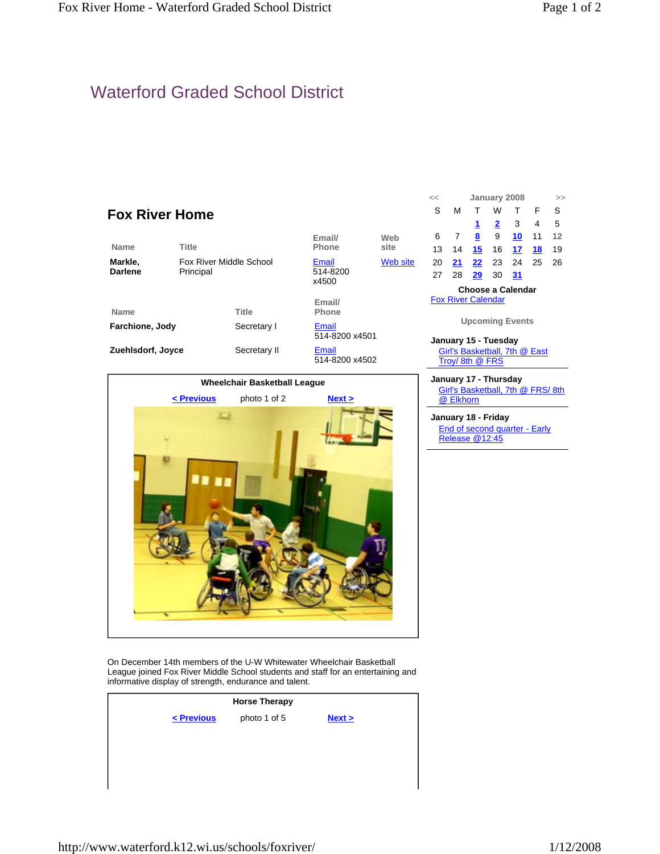## Waterford Graded School District





On December 14th members of the U-W Whitewater Wheelchair Basketball League joined Fox River Middle School students and staff for an entertaining and informative display of strength, endurance and talent.

|            | <b>Horse Therapy</b> |        |
|------------|----------------------|--------|
| < Previous | photo 1 of 5         | Next > |
|            |                      |        |
|            |                      |        |
|            |                      |        |

| S                                              | м    | $\top$         | W            | т   | F              | S  |  |  |
|------------------------------------------------|------|----------------|--------------|-----|----------------|----|--|--|
|                                                |      | 1              | $\mathbf{2}$ | - 3 | $\overline{4}$ | 5  |  |  |
| 6                                              | 7    | 8              | - 9          | 10  | 11             | 12 |  |  |
| 13                                             | - 14 |                | <b>15</b> 16 | 17  | - 18           | 19 |  |  |
| 20                                             |      | 21 22 23 24 25 |              |     |                | 26 |  |  |
| 27                                             | 28   | <b>29</b> 30   |              | 31  |                |    |  |  |
| Choose a Calendar<br><b>Fox River Calendar</b> |      |                |              |     |                |    |  |  |
| <b>Upcoming Events</b>                         |      |                |              |     |                |    |  |  |

- **January 15 Tuesday** Girl's Basketball, 7th @ East Troy/ 8th @ FRS
- **January 17 Thursday** Girl's Basketball, 7th @ FRS/ 8th @ Elkhorn
- **January 18 Friday** End of second quarter - Early Release @12:45